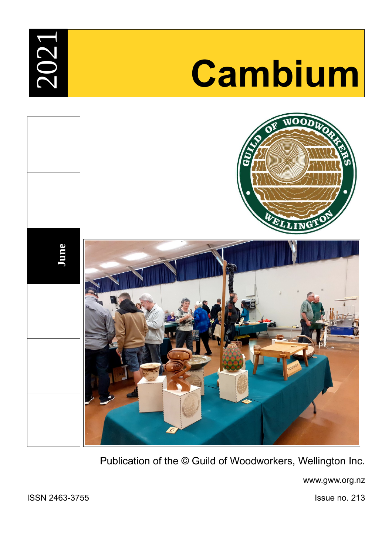**2**  $\bigcirc$  $\boldsymbol{\sim}$ 

# <sup>1</sup> **Cambium**



Publication of the © Guild of Woodworkers, Wellington Inc.

www.gww.org.nz

ISSN 2463-3755 Issue no. 213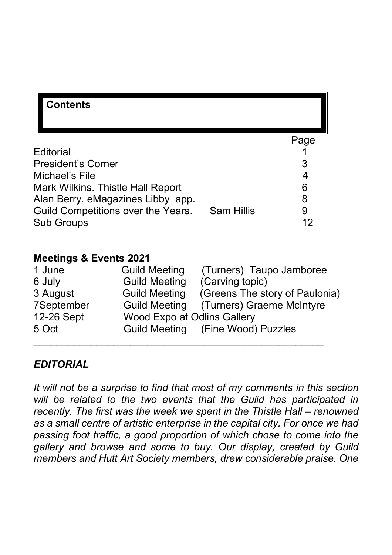| <b>Contents</b>                    |                   |      |
|------------------------------------|-------------------|------|
|                                    |                   | Page |
| Editorial                          |                   |      |
| <b>President's Corner</b>          |                   | 3    |
| Michael's File                     |                   | 4    |
| Mark Wilkins. Thistle Hall Report  |                   | 6    |
| Alan Berry. eMagazines Libby app.  |                   | 8    |
| Guild Competitions over the Years. | <b>Sam Hillis</b> | 9    |
| <b>Sub Groups</b>                  |                   |      |

#### **Meetings & Events 2021**

| 1 June     | <b>Guild Meeting</b>               | (Turners) Taupo Jamboree          |
|------------|------------------------------------|-----------------------------------|
| 6 July     | <b>Guild Meeting</b>               | (Carving topic)                   |
| 3 August   | <b>Guild Meeting</b>               | (Greens The story of Paulonia)    |
| 7September | <b>Guild Meeting</b>               | (Turners) Graeme McIntyre         |
| 12-26 Sept | <b>Wood Expo at Odlins Gallery</b> |                                   |
| 5 Oct      |                                    | Guild Meeting (Fine Wood) Puzzles |
|            |                                    |                                   |

#### *EDITORIAL*

*It will not be a surprise to find that most of my comments in this section will be related to the two events that the Guild has participated in recently. The first was the week we spent in the Thistle Hall – renowned as a small centre of artistic enterprise in the capital city. For once we had passing foot traffic, a good proportion of which chose to come into the gallery and browse and some to buy. Our display, created by Guild members and Hutt Art Society members, drew considerable praise. One*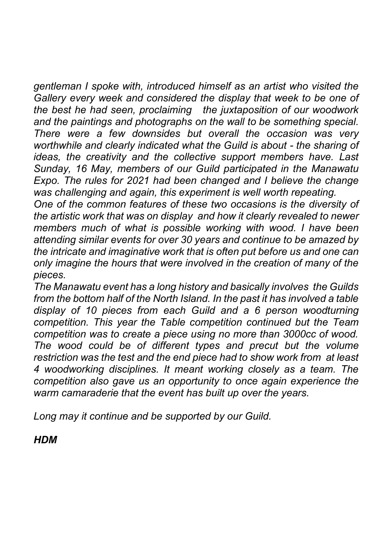*gentleman I spoke with, introduced himself as an artist who visited the Gallery every week and considered the display that week to be one of the best he had seen, proclaiming the juxtaposition of our woodwork and the paintings and photographs on the wall to be something special. There were a few downsides but overall the occasion was very worthwhile and clearly indicated what the Guild is about - the sharing of ideas, the creativity and the collective support members have. Last Sunday, 16 May, members of our Guild participated in the Manawatu Expo. The rules for 2021 had been changed and I believe the change was challenging and again, this experiment is well worth repeating.*

*One of the common features of these two occasions is the diversity of the artistic work that was on display and how it clearly revealed to newer members much of what is possible working with wood. I have been attending similar events for over 30 years and continue to be amazed by the intricate and imaginative work that is often put before us and one can only imagine the hours that were involved in the creation of many of the pieces.*

*The Manawatu event has a long history and basically involves the Guilds from the bottom half of the North Island. In the past it has involved a table display of 10 pieces from each Guild and a 6 person woodturning competition. This year the Table competition continued but the Team competition was to create a piece using no more than 3000cc of wood. The wood could be of different types and precut but the volume restriction was the test and the end piece had to show work from at least 4 woodworking disciplines. It meant working closely as a team. The competition also gave us an opportunity to once again experience the warm camaraderie that the event has built up over the years.*

*Long may it continue and be supported by our Guild.*

*HDM*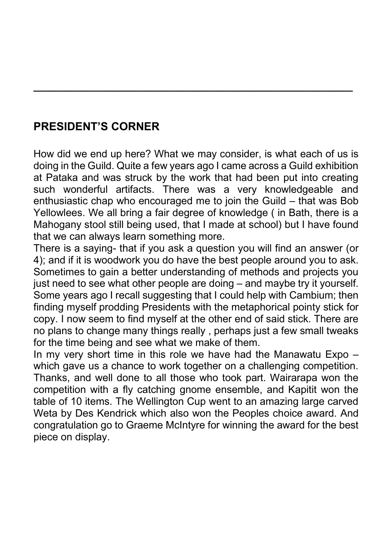# **PRESIDENT'S CORNER**

How did we end up here? What we may consider, is what each of us is doing in the Guild. Quite a few years ago I came across a Guild exhibition at Pataka and was struck by the work that had been put into creating such wonderful artifacts. There was a very knowledgeable and enthusiastic chap who encouraged me to join the Guild – that was Bob Yellowlees. We all bring a fair degree of knowledge ( in Bath, there is a Mahogany stool still being used, that I made at school) but I have found that we can always learn something more.

**\_\_\_\_\_\_\_\_\_\_\_\_\_\_\_\_\_\_\_\_\_\_\_\_\_\_\_\_\_\_\_\_\_\_\_\_\_\_\_\_\_\_\_\_\_\_\_\_\_\_\_\_\_\_\_\_**

There is a saying- that if you ask a question you will find an answer (or 4); and if it is woodwork you do have the best people around you to ask. Sometimes to gain a better understanding of methods and projects you just need to see what other people are doing – and maybe try it yourself. Some years ago I recall suggesting that I could help with Cambium; then finding myself prodding Presidents with the metaphorical pointy stick for copy. I now seem to find myself at the other end of said stick. There are no plans to change many things really , perhaps just a few small tweaks for the time being and see what we make of them.

In my very short time in this role we have had the Manawatu Expo – which gave us a chance to work together on a challenging competition. Thanks, and well done to all those who took part. Wairarapa won the competition with a fly catching gnome ensemble, and Kapitit won the table of 10 items. The Wellington Cup went to an amazing large carved Weta by Des Kendrick which also won the Peoples choice award. And congratulation go to Graeme McIntyre for winning the award for the best piece on display.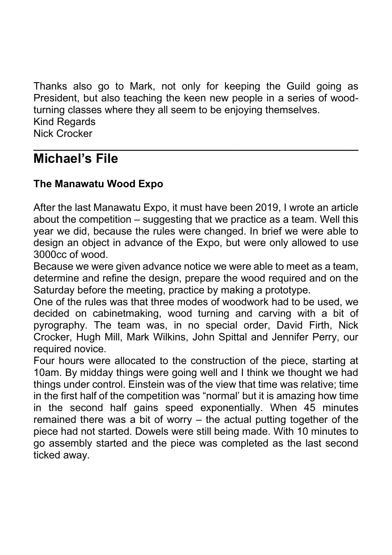Thanks also go to Mark, not only for keeping the Guild going as President, but also teaching the keen new people in a series of woodturning classes where they all seem to be enjoying themselves. Kind Regards Nick Crocker **\_\_\_\_\_\_\_\_\_\_\_\_\_\_\_\_\_\_\_\_\_\_\_\_\_\_\_\_\_\_\_\_\_\_\_\_\_\_\_\_\_\_\_\_\_\_\_\_\_\_\_\_\_\_\_\_\_**

# **Michael's File**

#### **The Manawatu Wood Expo**

After the last Manawatu Expo, it must have been 2019, I wrote an article about the competition – suggesting that we practice as a team. Well this year we did, because the rules were changed. In brief we were able to design an object in advance of the Expo, but were only allowed to use 3000cc of wood.

Because we were given advance notice we were able to meet as a team, determine and refine the design, prepare the wood required and on the Saturday before the meeting, practice by making a prototype.

One of the rules was that three modes of woodwork had to be used, we decided on cabinetmaking, wood turning and carving with a bit of pyrography. The team was, in no special order, David Firth, Nick Crocker, Hugh Mill, Mark Wilkins, John Spittal and Jennifer Perry, our required novice.

Four hours were allocated to the construction of the piece, starting at 10am. By midday things were going well and I think we thought we had things under control. Einstein was of the view that time was relative; time in the first half of the competition was "normal' but it is amazing how time in the second half gains speed exponentially. When 45 minutes remained there was a bit of worry – the actual putting together of the piece had not started. Dowels were still being made. With 10 minutes to go assembly started and the piece was completed as the last second ticked away.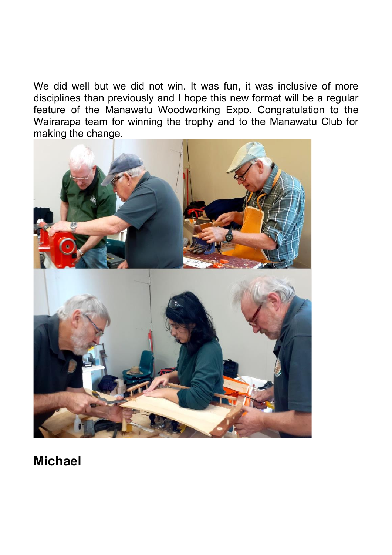We did well but we did not win. It was fun, it was inclusive of more disciplines than previously and I hope this new format will be a regular feature of the Manawatu Woodworking Expo. Congratulation to the Wairarapa team for winning the trophy and to the Manawatu Club for making the change.



# **Michael**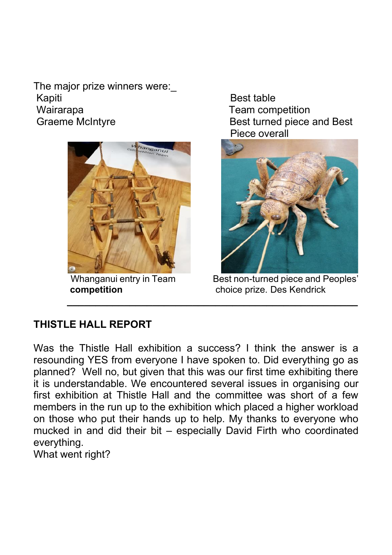The major prize winners were: Kapiti Best table Wairarapa **Team competition** Graeme McIntyre **Best turned piece and Best** 



Piece overall



Whanganui entry in Team Best non-turned piece and Peoples' **competition competition choice prize.** Des Kendrick

## **THISTLE HALL REPORT**

Was the Thistle Hall exhibition a success? I think the answer is a resounding YES from everyone I have spoken to. Did everything go as planned? Well no, but given that this was our first time exhibiting there it is understandable. We encountered several issues in organising our first exhibition at Thistle Hall and the committee was short of a few members in the run up to the exhibition which placed a higher workload on those who put their hands up to help. My thanks to everyone who mucked in and did their bit – especially David Firth who coordinated everything.

**\_\_\_\_\_\_\_\_\_\_\_\_\_\_\_\_\_\_\_\_\_\_\_\_\_\_\_\_\_\_\_\_\_\_\_\_\_\_\_\_\_\_\_\_\_\_\_\_\_\_\_**

What went right?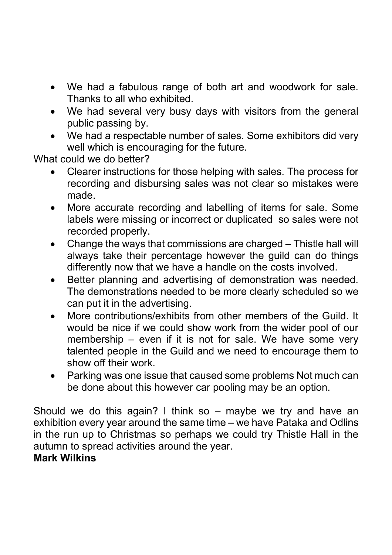- We had a fabulous range of both art and woodwork for sale. Thanks to all who exhibited.
- We had several very busy days with visitors from the general public passing by.
- We had a respectable number of sales. Some exhibitors did very well which is encouraging for the future.

What could we do better?

- Clearer instructions for those helping with sales. The process for recording and disbursing sales was not clear so mistakes were made.
- More accurate recording and labelling of items for sale. Some labels were missing or incorrect or duplicated so sales were not recorded properly.
- Change the ways that commissions are charged Thistle hall will always take their percentage however the guild can do things differently now that we have a handle on the costs involved.
- Better planning and advertising of demonstration was needed. The demonstrations needed to be more clearly scheduled so we can put it in the advertising.
- More contributions/exhibits from other members of the Guild. It would be nice if we could show work from the wider pool of our membership – even if it is not for sale. We have some very talented people in the Guild and we need to encourage them to show off their work.
- Parking was one issue that caused some problems Not much can be done about this however car pooling may be an option.

Should we do this again? I think so  $-$  maybe we try and have an exhibition every year around the same time – we have Pataka and Odlins in the run up to Christmas so perhaps we could try Thistle Hall in the autumn to spread activities around the year.

#### **Mark Wilkins**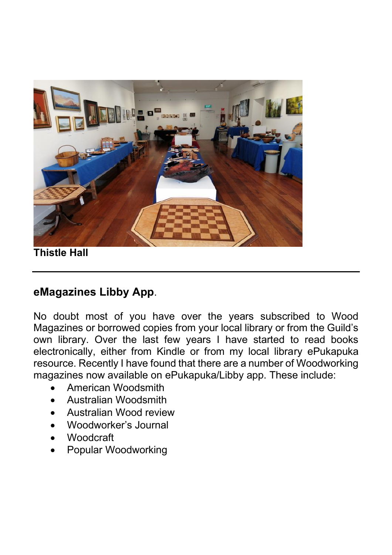

**Thistle Hall**

# **eMagazines Libby App**.

No doubt most of you have over the years subscribed to Wood Magazines or borrowed copies from your local library or from the Guild's own library. Over the last few years I have started to read books electronically, either from Kindle or from my local library ePukapuka resource. Recently I have found that there are a number of Woodworking magazines now available on ePukapuka/Libby app. These include:

- American Woodsmith
- Australian Woodsmith
- Australian Wood review
- Woodworker's Journal
- Woodcraft
- Popular Woodworking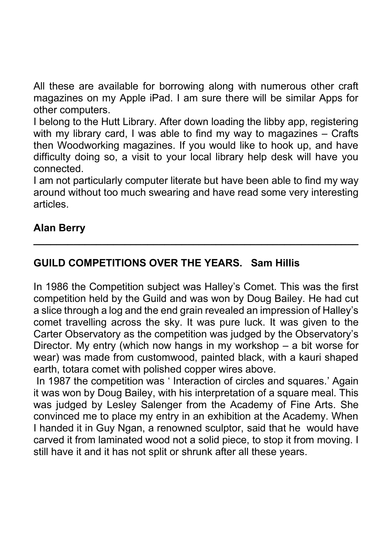All these are available for borrowing along with numerous other craft magazines on my Apple iPad. I am sure there will be similar Apps for other computers.

I belong to the Hutt Library. After down loading the libby app, registering with my library card, I was able to find my way to magazines – Crafts then Woodworking magazines. If you would like to hook up, and have difficulty doing so, a visit to your local library help desk will have you connected.

I am not particularly computer literate but have been able to find my way around without too much swearing and have read some very interesting articles.

**\_\_\_\_\_\_\_\_\_\_\_\_\_\_\_\_\_\_\_\_\_\_\_\_\_\_\_\_\_\_\_\_\_\_\_\_\_\_\_\_\_\_\_\_\_\_\_\_\_\_\_\_\_\_\_\_\_**

## **Alan Berry**

## **GUILD COMPETITIONS OVER THE YEARS. Sam Hillis**

In 1986 the Competition subject was Halley's Comet. This was the first competition held by the Guild and was won by Doug Bailey. He had cut a slice through a log and the end grain revealed an impression of Halley's comet travelling across the sky. It was pure luck. It was given to the Carter Observatory as the competition was judged by the Observatory's Director. My entry (which now hangs in my workshop – a bit worse for wear) was made from customwood, painted black, with a kauri shaped earth, totara comet with polished copper wires above.

In 1987 the competition was ' Interaction of circles and squares.' Again it was won by Doug Bailey, with his interpretation of a square meal. This was judged by Lesley Salenger from the Academy of Fine Arts. She convinced me to place my entry in an exhibition at the Academy. When I handed it in Guy Ngan, a renowned sculptor, said that he would have carved it from laminated wood not a solid piece, to stop it from moving. I still have it and it has not split or shrunk after all these years.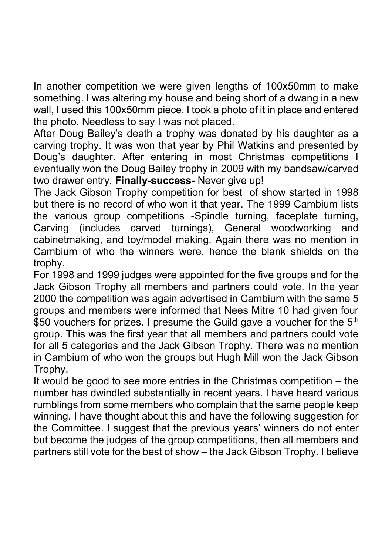In another competition we were given lengths of 100x50mm to make something. I was altering my house and being short of a dwang in a new wall, I used this 100x50mm piece. I took a photo of it in place and entered the photo. Needless to say I was not placed.

After Doug Bailey's death a trophy was donated by his daughter as a carving trophy. It was won that year by Phil Watkins and presented by Doug's daughter. After entering in most Christmas competitions I eventually won the Doug Bailey trophy in 2009 with my bandsaw/carved two drawer entry. **Finally-success-** Never give up!

The Jack Gibson Trophy competition for best of show started in 1998 but there is no record of who won it that year. The 1999 Cambium lists the various group competitions -Spindle turning, faceplate turning, Carving (includes carved turnings), General woodworking and cabinetmaking, and toy/model making. Again there was no mention in Cambium of who the winners were, hence the blank shields on the trophy.

For 1998 and 1999 judges were appointed for the five groups and for the Jack Gibson Trophy all members and partners could vote. In the year 2000 the competition was again advertised in Cambium with the same 5 groups and members were informed that Nees Mitre 10 had given four \$50 vouchers for prizes. I presume the Guild gave a voucher for the 5<sup>th</sup> group. This was the first year that all members and partners could vote for all 5 categories and the Jack Gibson Trophy. There was no mention in Cambium of who won the groups but Hugh Mill won the Jack Gibson Trophy.

It would be good to see more entries in the Christmas competition – the number has dwindled substantially in recent years. I have heard various rumblings from some members who complain that the same people keep winning. I have thought about this and have the following suggestion for the Committee. I suggest that the previous years' winners do not enter but become the judges of the group competitions, then all members and partners still vote for the best of show – the Jack Gibson Trophy. I believe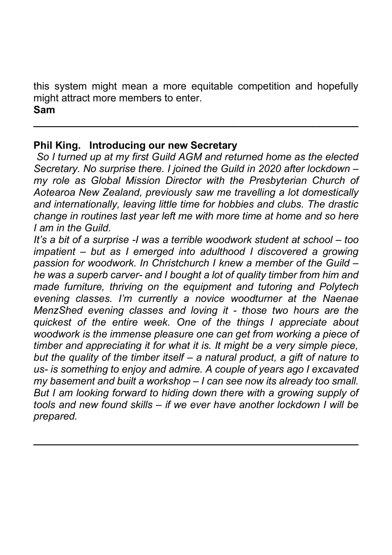this system might mean a more equitable competition and hopefully might attract more members to enter.

**\_\_\_\_\_\_\_\_\_\_\_\_\_\_\_\_\_\_\_\_\_\_\_\_\_\_\_\_\_\_\_\_\_\_\_\_\_\_\_\_\_\_\_\_\_\_\_\_\_\_\_\_\_\_\_\_\_**

#### **Sam**

### **Phil King. Introducing our new Secretary**

*So I turned up at my first Guild AGM and returned home as the elected Secretary. No surprise there. I joined the Guild in 2020 after lockdown – my role as Global Mission Director with the Presbyterian Church of Aotearoa New Zealand, previously saw me travelling a lot domestically and internationally, leaving little time for hobbies and clubs. The drastic change in routines last year left me with more time at home and so here I am in the Guild.*

*It's a bit of a surprise -I was a terrible woodwork student at school – too impatient – but as I emerged into adulthood I discovered a growing passion for woodwork. In Christchurch I knew a member of the Guild – he was a superb carver- and I bought a lot of quality timber from him and made furniture, thriving on the equipment and tutoring and Polytech evening classes. I'm currently a novice woodturner at the Naenae MenzShed evening classes and loving it - those two hours are the quickest of the entire week. One of the things I appreciate about woodwork is the immense pleasure one can get from working a piece of timber and appreciating it for what it is. It might be a very simple piece, but the quality of the timber itself – a natural product, a gift of nature to us- is something to enjoy and admire. A couple of years ago I excavated my basement and built a workshop – I can see now its already too small. But I am looking forward to hiding down there with a growing supply of tools and new found skills – if we ever have another lockdown I will be prepared.*

**\_\_\_\_\_\_\_\_\_\_\_\_\_\_\_\_\_\_\_\_\_\_\_\_\_\_\_\_\_\_\_\_\_\_\_\_\_\_\_\_\_\_\_\_\_\_\_\_\_\_\_\_\_\_\_\_\_**